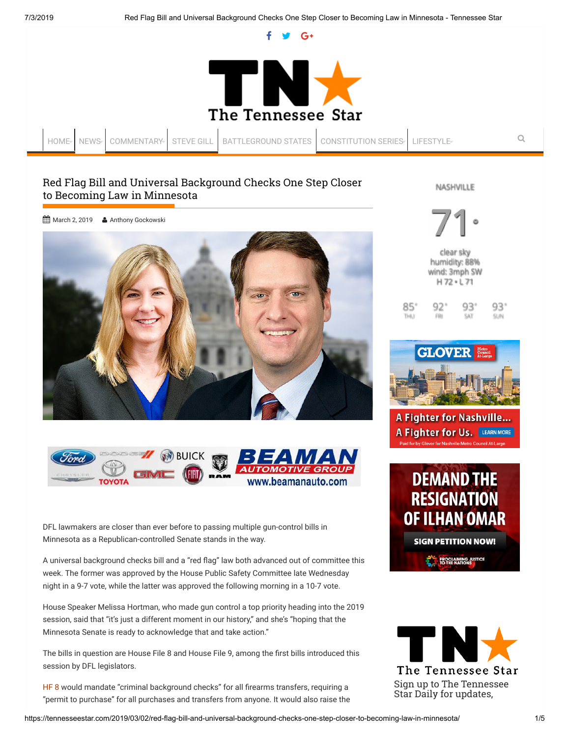$G+$ 



[HOME](https://tennesseestar.com/) [NEWS](https://tennesseestar.com/category/news/) [COMMENTARY](https://tennesseestar.com/category/commentary/) [STEVE GILL](https://tennesseestar.com/category/steve-gill/) [BATTLEGROUND STATES](https://tennesseestar.com/category/battleground-states/) [CONSTITUTION SERIES](https://tennesseestar.com/category/constitution-series/) [LIFESTYLE](https://tennesseestar.com/category/lifestyle/) **Q** 

85 THU I

# Red Flag Bill and Universal Background Checks One Step Closer to Becoming Law in Minnesota

NASHVILLE

[March 2, 2019](https://tennesseestar.com/2019/03/02/red-flag-bill-and-universal-background-checks-one-step-closer-to-becoming-law-in-minnesota/) & [Anthony Gockowski](https://tennesseestar.com/author/agockowski/)





DFL lawmakers are closer than ever before to passing multiple gun-control bills in Minnesota as a Republican-controlled Senate stands in the way.

A universal background checks bill and a "red flag" law both advanced out of committee this week. The former was approved by the House Public Safety Committee late Wednesday night in a 9-7 vote, while the latter was approved the following morning in a 10-7 vote.

House Speaker Melissa Hortman, who made gun control a top priority heading into the 2019 session, said that "it's just a different moment in our history," and she's "hoping that the Minnesota Senate is ready to acknowledge that and take action."

The bills in question are House File 8 and House File 9, among the first bills introduced this session by DFL legislators.

[HF 8](https://www.revisor.mn.gov/bills/text.php?number=HF8&type=bill&version=0&session=ls91&session_year=2019&session_number=0) would mandate "criminal background checks" for all firearms transfers, requiring a "permit to purchase" for all purchases and transfers from anyone. It would also raise the

71 clear sky humidity: 88% wind: 3mph SW °

|   | $H72 \cdot L71$ |            |      |
|---|-----------------|------------|------|
| Q | 92"             | $93^\circ$ | -931 |
|   | <b>FRI</b>      | SAT        | SUN  |



A Fighter for Nashville... A Fighter for Us. LEARN MORE



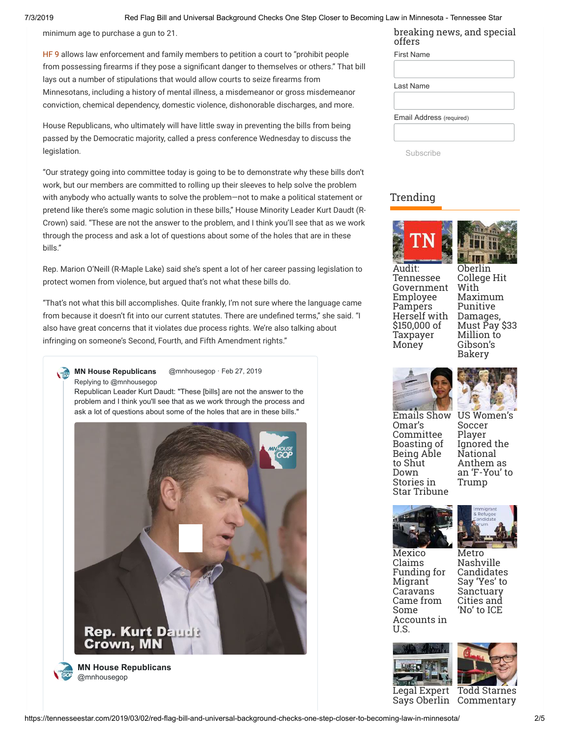#### 7/3/2019 Red Flag Bill and Universal Background Checks One Step Closer to Becoming Law in Minnesota - Tennessee Star

minimum age to purchase a gun to 21.

[HF 9 a](https://www.revisor.mn.gov/bills/bill.php?b=House&f=HF0009&ssn=0&y=2019)llows law enforcement and family members to petition a court to "prohibit people from possessing firearms if they pose a significant danger to themselves or others." That bill lays out a number of stipulations that would allow courts to seize firearms from Minnesotans, including a history of mental illness, a misdemeanor or gross misdemeanor conviction, chemical dependency, domestic violence, dishonorable discharges, and more.

House Republicans, who ultimately will have little sway in preventing the bills from being passed by the Democratic majority, called a press conference Wednesday to discuss the legislation.

"Our strategy going into committee today is going to be to demonstrate why these bills don't work, but our members are committed to rolling up their sleeves to help solve the problem with anybody who actually wants to solve the problem—not to make a political statement or pretend like there's some magic solution in these bills," House Minority Leader Kurt Daudt (R-Crown) said. "These are not the answer to the problem, and I think you'll see that as we work through the process and ask a lot of questions about some of the holes that are in these bills."

Rep. Marion O'Neill (R-Maple Lake) said she's spent a lot of her career passing legislation to protect women from violence, but argued that's not what these bills do.

"That's not what this bill accomplishes. Quite frankly, I'm not sure where the language came from because it doesn't fit into our current statutes. There are undefined terms," she said. "I also have great concerns that it violates due process rights. We're also talking about infringing on someone's Second, Fourth, and Fifth Amendment rights."

**[MN House Republicans](https://twitter.com/mnhousegop)** @mnhousegop · [Feb 27, 2019](https://twitter.com/mnhousegop/status/1100804015573610496) [Replying to @mnhousegop](https://twitter.com/_/status/1100799318141865985)

Republican Leader Kurt Daudt: "These [bills] are not the answer to the problem and I think you'll see that as we work through the process and ask a lot of questions about some of the holes that are in these bills."



**[MN House Republicans](https://twitter.com/mnhousegop)** @mnhousegop

breaking news, and special offers

| <b>First Name</b>        |  |
|--------------------------|--|
|                          |  |
| Last Name                |  |
|                          |  |
| Email Address (required) |  |
|                          |  |
|                          |  |

Subscribe

## [Trending](https://tennesseestar.com/category/trending/)





Audit: Tennessee [Government](https://tennesseestar.com/2019/06/15/audit-tennessee-government-employee-pampers-herself-with-150000-of-taxpayer-money/) Employee Pampers Herself with \$150,000 of Taxpayer Money

Oberlin College Hit With Maximum Punitive Damages, [Must Pay \\$33](https://tennesseestar.com/2019/06/14/oberlin-college-hit-with-maximum-punitive-damages-must-pay-33-million-to-gibsons-bakery/) Million to Gibson's Bakery





[Emails Show](https://tennesseestar.com/2019/06/14/emails-show-omars-committee-boasting-of-being-able-to-shut-down-stories-in-star-tribune/) Omar's Committee Boasting of Being Able to Shut Down Stories in Star Tribune

[US Women's](https://tennesseestar.com/2019/06/13/us-womens-soccer-player-ignored-the-national-anthem-as-an-f-you-to-trump/) Soccer Player Ignored the National Anthem as an 'F-You' to Trump





Mexico Claims Funding for Migrant Caravans Came from Some [Accounts in](https://tennesseestar.com/2019/06/11/mexico-claims-funding-for-migrant-caravans-came-from-some-accounts-in-u-s/) U.S.

Metro Nashville [Candidates](https://tennesseestar.com/2019/06/11/metro-nashville-candidates-say-yes-to-sanctuary-cities-and-no-to-ice/) Say 'Yes' to Sanctuary Cities and 'No' to ICE

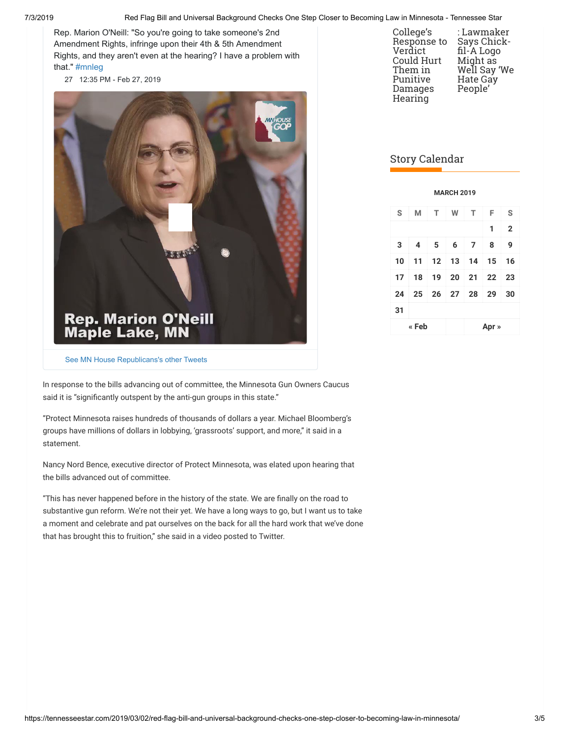Rep. Marion O'Neill: "So you're going to take someone's 2nd Amendment Rights, infringe upon their 4th & 5th Amendment Rights, and they aren't even at the hearing? I have a problem with that." [#mnleg](https://twitter.com/hashtag/mnleg?src=hash)

[27](https://twitter.com/intent/like?tweet_id=1100811761966608384) [12:35 PM - Feb 27, 2019](https://twitter.com/mnhousegop/status/1100811761966608384)



| College's<br>Response to<br>Verdict<br>Could Hurt<br>Them in<br>Punitive<br>Damages<br>Hearing | : Lawmaker<br>Says Chick-<br>fil-A Logo<br>Might as<br>Well Say 'We<br><b>Hate Gay</b><br>People' |
|------------------------------------------------------------------------------------------------|---------------------------------------------------------------------------------------------------|
|------------------------------------------------------------------------------------------------|---------------------------------------------------------------------------------------------------|

# Story Calendar

|    |                |     | <b>MARCH 2019</b> |                                   |                   |                |
|----|----------------|-----|-------------------|-----------------------------------|-------------------|----------------|
| S  | M              | T   | W                 | T                                 | F                 | S              |
|    |                |     |                   |                                   | 1                 | $\overline{2}$ |
| 3  | $\overline{4}$ | - 5 | 6                 | $\overline{7}$                    | 8                 | 9              |
| 10 |                |     |                   | $11 \mid 12 \mid 13 \mid 14 \mid$ | 15                | 16             |
| 17 |                |     |                   |                                   | 18 19 20 21 22 23 |                |
| 24 |                |     |                   | 25 26 27 28 29                    |                   | 30             |
| 31 |                |     |                   |                                   |                   |                |
|    | « Feb          |     |                   |                                   | Apr »             |                |

[See MN House Republicans's other Tweets](https://twitter.com/mnhousegop)

In response to the bills advancing out of committee, the Minnesota Gun Owners Caucus said it is "significantly outspent by the anti-gun groups in this state."

"Protect Minnesota raises hundreds of thousands of dollars a year. Michael Bloomberg's groups have millions of dollars in lobbying, 'grassroots' support, and more," it said in a statement.

Nancy Nord Bence, executive director of Protect Minnesota, was elated upon hearing that the bills advanced out of committee.

"This has never happened before in the history of the state. We are finally on the road to substantive gun reform. We're not their yet. We have a long ways to go, but I want us to take a moment and celebrate and pat ourselves on the back for all the hard work that we've done that has brought this to fruition," she said in a video posted to Twitter.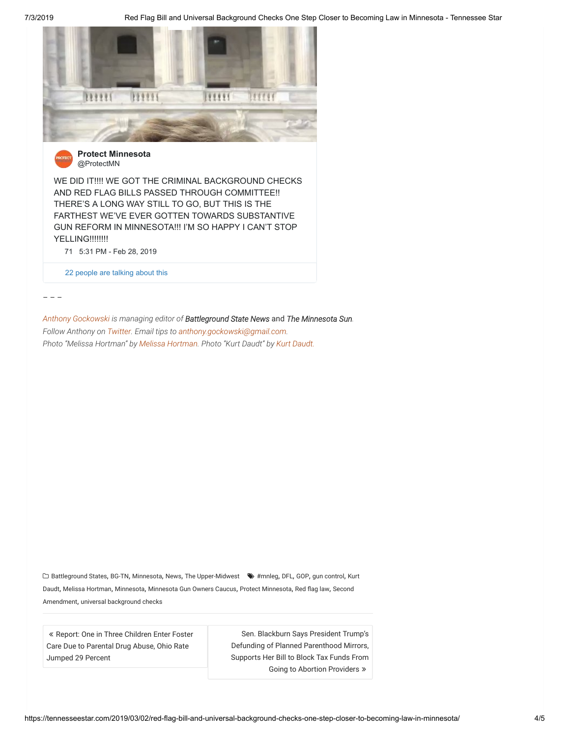



**[Protect Minnesota](https://twitter.com/ProtectMN)** @ProtectMN

WE DID IT!!!! WE GOT THE CRIMINAL BACKGROUND CHECKS AND RED FLAG BILLS PASSED THROUGH COMMITTEE!! THERE'S A LONG WAY STILL TO GO, BUT THIS IS THE FARTHEST WE'VE EVER GOTTEN TOWARDS SUBSTANTIVE GUN REFORM IN MINNESOTA!!! I'M SO HAPPY I CAN'T STOP **YELLING!!!!!!!!** 

[71](https://twitter.com/intent/like?tweet_id=1101248616637911043) [5:31 PM - Feb 28, 2019](https://twitter.com/ProtectMN/status/1101248616637911043)

[22 people are talking about this](https://twitter.com/ProtectMN/status/1101248616637911043)

– – –

*[Anthony Gockowski](https://tennesseestar.com/author/agockowski/) is managing editor of Battleground State News* and *The Minnesota Sun. Follow Anthony on [Twitter.](https://twitter.com/AGockowski) Email tips to [anthony.gockowski@gmail.com.](mailto:anthony.gockowski@gmail.com) Photo "Melissa Hortman" by [Melissa Hortman](https://www.house.leg.state.mn.us/members/profile/photo/12266). Photo "Kurt Daudt" by [Kurt Daudt.](https://www.house.leg.state.mn.us/members/profile/photo/15345)* 

 [Battleground States](https://tennesseestar.com/category/battleground-states/), [BG-TN](https://tennesseestar.com/category/bg-tn/), [Minnesota](https://tennesseestar.com/category/minnesota/), [News](https://tennesseestar.com/category/news/), [The Upper-Midwest](https://tennesseestar.com/category/the-upper-midwest/) [#mnleg](https://tennesseestar.com/tag/mnleg/), [DFL](https://tennesseestar.com/tag/dfl/), [GOP](https://tennesseestar.com/tag/gop/), [gun control](https://tennesseestar.com/tag/gun-control/), Kurt Daudt, [Melissa Hortman](https://tennesseestar.com/tag/melissa-hortman/), [Minnesota](https://tennesseestar.com/tag/minnesota/), [Minnesota Gun Owners Caucus](https://tennesseestar.com/tag/kurt-daudt/), [Protect Minnesota](https://tennesseestar.com/tag/protect-minnesota/), [Red flag law](https://tennesseestar.com/tag/red-flag-law/), Second Amendment, [universal background checks](https://tennesseestar.com/tag/universal-background-checks/)

« Report: One in Three Children Enter Foster [Care Due to Parental Drug Abuse, Ohio Rate](https://tennesseestar.com/2019/03/02/report-one-in-three-children-enter-foster-care-due-to-parental-drug-abuse-ohio-rate-jumped-29/) Jumped 29 Percent

Sen. Blackburn Says President Trump's Defunding of Planned Parenthood Mirrors, [Supports Her Bill to Block Tax Funds From](https://tennesseestar.com/2019/03/02/sen-blackburn-says-president-trumps-defunding-of-planned-parenthood-mirrors-supports-her-bill-to-block-tax-funds-from-going-to-abortion-providers/) Going to Abortion Providers